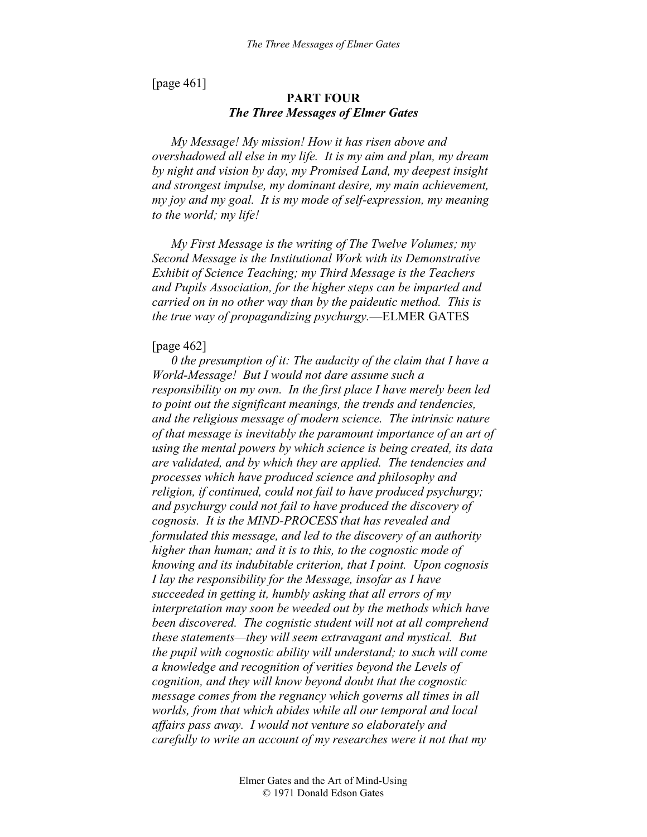[page 461]

# **PART FOUR**  *The Three Messages of Elmer Gates*

*My Message! My mission! How it has risen above and overshadowed all else in my life. It is my aim and plan, my dream by night and vision by day, my Promised Land, my deepest insight and strongest impulse, my dominant desire, my main achievement, my joy and my goal. It is my mode of self-expression, my meaning to the world; my life!* 

*My First Message is the writing of The Twelve Volumes; my Second Message is the Institutional Work with its Demonstrative Exhibit of Science Teaching; my Third Message is the Teachers and Pupils Association, for the higher steps can be imparted and carried on in no other way than by the paideutic method. This is the true way of propagandizing psychurgy.*—ELMER GATES

#### [page 462]

*0 the presumption of it: The audacity of the claim that I have a World-Message! But I would not dare assume such a responsibility on my own. In the first place I have merely been led to point out the significant meanings, the trends and tendencies, and the religious message of modern science. The intrinsic nature of that message is inevitably the paramount importance of an art of using the mental powers by which science is being created, its data are validated, and by which they are applied. The tendencies and processes which have produced science and philosophy and religion, if continued, could not fail to have produced psychurgy; and psychurgy could not fail to have produced the discovery of cognosis. It is the MIND-PROCESS that has revealed and formulated this message, and led to the discovery of an authority higher than human; and it is to this, to the cognostic mode of knowing and its indubitable criterion, that I point. Upon cognosis I lay the responsibility for the Message, insofar as I have succeeded in getting it, humbly asking that all errors of my interpretation may soon be weeded out by the methods which have been discovered. The cognistic student will not at all comprehend these statements—they will seem extravagant and mystical. But the pupil with cognostic ability will understand; to such will come a knowledge and recognition of verities beyond the Levels of cognition, and they will know beyond doubt that the cognostic message comes from the regnancy which governs all times in all worlds, from that which abides while all our temporal and local affairs pass away. I would not venture so elaborately and carefully to write an account of my researches were it not that my*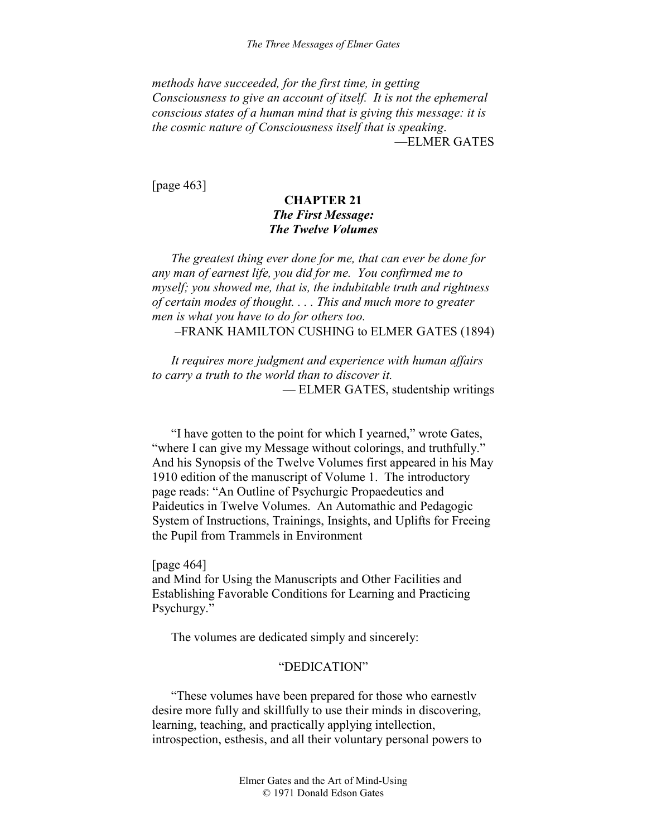*methods have succeeded, for the first time, in getting Consciousness to give an account of itself. It is not the ephemeral conscious states of a human mind that is giving this message: it is the cosmic nature of Consciousness itself that is speaking*. —ELMER GATES

[page 463]

# **CHAPTER 21**  *The First Message: The Twelve Volumes*

*The greatest thing ever done for me, that can ever be done for any man of earnest life, you did for me. You confirmed me to myself; you showed me, that is, the indubitable truth and rightness of certain modes of thought. . . . This and much more to greater men is what you have to do for others too.* 

–FRANK HAMILTON CUSHING to ELMER GATES (1894)

*It requires more judgment and experience with human affairs to carry a truth to the world than to discover it.*  — ELMER GATES, studentship writings

"I have gotten to the point for which I yearned," wrote Gates, "where I can give my Message without colorings, and truthfully." And his Synopsis of the Twelve Volumes first appeared in his May 1910 edition of the manuscript of Volume 1. The introductory page reads: "An Outline of Psychurgic Propaedeutics and Paideutics in Twelve Volumes. An Automathic and Pedagogic System of Instructions, Trainings, Insights, and Uplifts for Freeing the Pupil from Trammels in Environment

[page 464] and Mind for Using the Manuscripts and Other Facilities and Establishing Favorable Conditions for Learning and Practicing Psychurgy."

The volumes are dedicated simply and sincerely:

## "DEDICATION"

"These volumes have been prepared for those who earnestlv desire more fully and skillfully to use their minds in discovering, learning, teaching, and practically applying intellection, introspection, esthesis, and all their voluntary personal powers to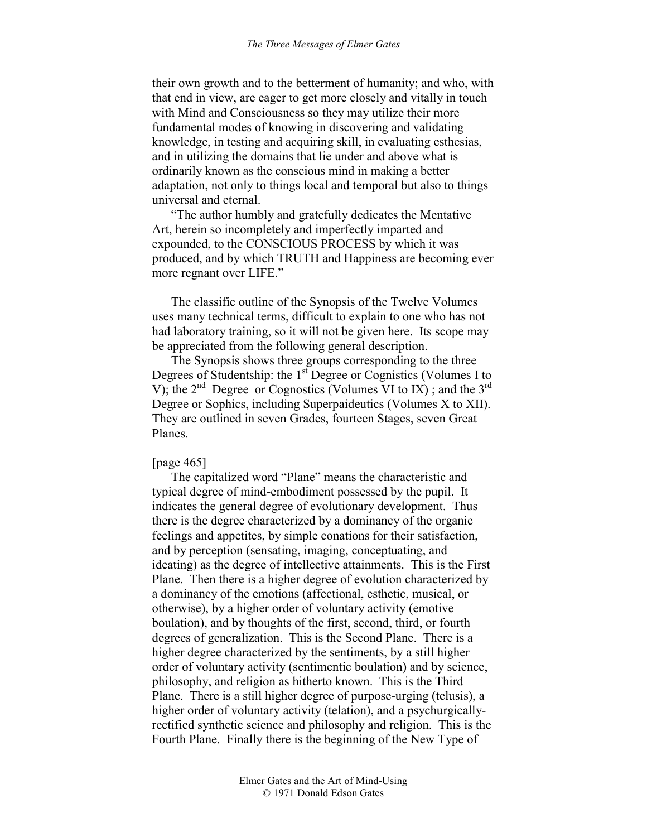their own growth and to the betterment of humanity; and who, with that end in view, are eager to get more closely and vitally in touch with Mind and Consciousness so they may utilize their more fundamental modes of knowing in discovering and validating knowledge, in testing and acquiring skill, in evaluating esthesias, and in utilizing the domains that lie under and above what is ordinarily known as the conscious mind in making a better adaptation, not only to things local and temporal but also to things universal and eternal.

"The author humbly and gratefully dedicates the Mentative Art, herein so incompletely and imperfectly imparted and expounded, to the CONSCIOUS PROCESS by which it was produced, and by which TRUTH and Happiness are becoming ever more regnant over LIFE."

The classific outline of the Synopsis of the Twelve Volumes uses many technical terms, difficult to explain to one who has not had laboratory training, so it will not be given here. Its scope may be appreciated from the following general description.

The Synopsis shows three groups corresponding to the three Degrees of Studentship: the 1<sup>st</sup> Degree or Cognistics (Volumes I to V); the  $2^{nd}$  Degree or Cognostics (Volumes VI to IX); and the  $3^{rd}$ Degree or Sophics, including Superpaideutics (Volumes X to XII). They are outlined in seven Grades, fourteen Stages, seven Great Planes.

#### [page 465]

The capitalized word "Plane" means the characteristic and typical degree of mind-embodiment possessed by the pupil. It indicates the general degree of evolutionary development. Thus there is the degree characterized by a dominancy of the organic feelings and appetites, by simple conations for their satisfaction, and by perception (sensating, imaging, conceptuating, and ideating) as the degree of intellective attainments. This is the First Plane. Then there is a higher degree of evolution characterized by a dominancy of the emotions (affectional, esthetic, musical, or otherwise), by a higher order of voluntary activity (emotive boulation), and by thoughts of the first, second, third, or fourth degrees of generalization. This is the Second Plane. There is a higher degree characterized by the sentiments, by a still higher order of voluntary activity (sentimentic boulation) and by science, philosophy, and religion as hitherto known. This is the Third Plane. There is a still higher degree of purpose-urging (telusis), a higher order of voluntary activity (telation), and a psychurgicallyrectified synthetic science and philosophy and religion. This is the Fourth Plane. Finally there is the beginning of the New Type of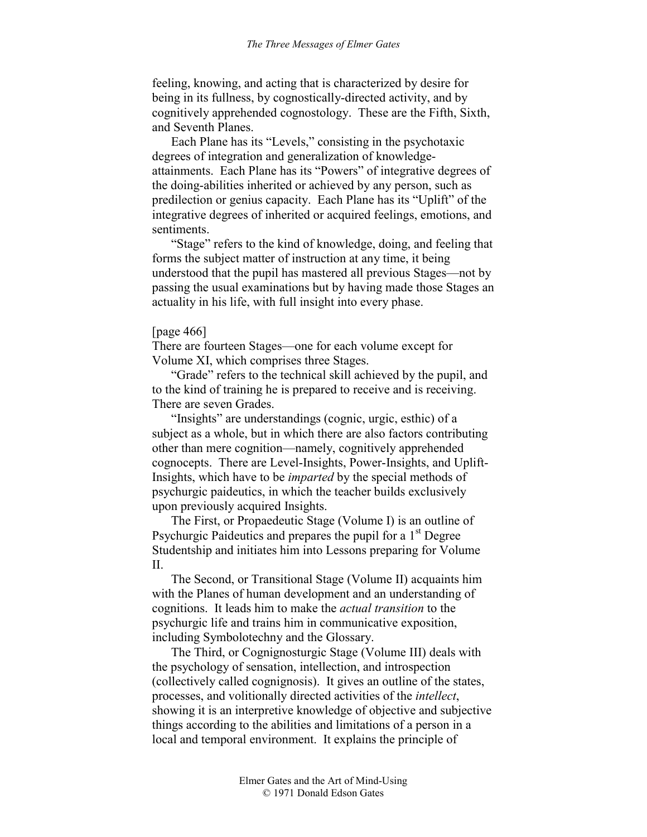feeling, knowing, and acting that is characterized by desire for being in its fullness, by cognostically-directed activity, and by cognitively apprehended cognostology. These are the Fifth, Sixth, and Seventh Planes.

Each Plane has its "Levels," consisting in the psychotaxic degrees of integration and generalization of knowledgeattainments. Each Plane has its "Powers" of integrative degrees of the doing-abilities inherited or achieved by any person, such as predilection or genius capacity. Each Plane has its "Uplift" of the integrative degrees of inherited or acquired feelings, emotions, and sentiments.

"Stage" refers to the kind of knowledge, doing, and feeling that forms the subject matter of instruction at any time, it being understood that the pupil has mastered all previous Stages—not by passing the usual examinations but by having made those Stages an actuality in his life, with full insight into every phase.

# [page 466]

There are fourteen Stages—one for each volume except for Volume XI, which comprises three Stages.

"Grade" refers to the technical skill achieved by the pupil, and to the kind of training he is prepared to receive and is receiving. There are seven Grades.

"Insights" are understandings (cognic, urgic, esthic) of a subject as a whole, but in which there are also factors contributing other than mere cognition—namely, cognitively apprehended cognocepts. There are Level-Insights, Power-Insights, and Uplift-Insights, which have to be *imparted* by the special methods of psychurgic paideutics, in which the teacher builds exclusively upon previously acquired Insights.

The First, or Propaedeutic Stage (Volume I) is an outline of Psychurgic Paideutics and prepares the pupil for a  $1<sup>st</sup>$  Degree Studentship and initiates him into Lessons preparing for Volume II.

The Second, or Transitional Stage (Volume II) acquaints him with the Planes of human development and an understanding of cognitions. It leads him to make the *actual transition* to the psychurgic life and trains him in communicative exposition, including Symbolotechny and the Glossary.

The Third, or Cognignosturgic Stage (Volume III) deals with the psychology of sensation, intellection, and introspection (collectively called cognignosis). It gives an outline of the states, processes, and volitionally directed activities of the *intellect*, showing it is an interpretive knowledge of objective and subjective things according to the abilities and limitations of a person in a local and temporal environment. It explains the principle of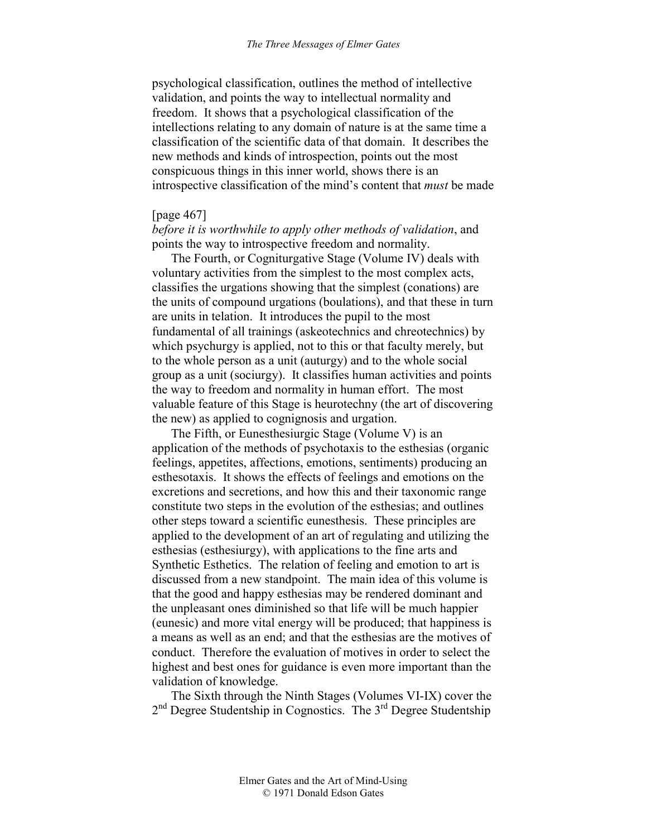psychological classification, outlines the method of intellective validation, and points the way to intellectual normality and freedom. It shows that a psychological classification of the intellections relating to any domain of nature is at the same time a classification of the scientific data of that domain. It describes the new methods and kinds of introspection, points out the most conspicuous things in this inner world, shows there is an introspective classification of the mind's content that *must* be made

## [page 467]

*before it is worthwhile to apply other methods of validation*, and points the way to introspective freedom and normality.

The Fourth, or Cogniturgative Stage (Volume IV) deals with voluntary activities from the simplest to the most complex acts, classifies the urgations showing that the simplest (conations) are the units of compound urgations (boulations), and that these in turn are units in telation. It introduces the pupil to the most fundamental of all trainings (askeotechnics and chreotechnics) by which psychurgy is applied, not to this or that faculty merely, but to the whole person as a unit (auturgy) and to the whole social group as a unit (sociurgy). It classifies human activities and points the way to freedom and normality in human effort. The most valuable feature of this Stage is heurotechny (the art of discovering the new) as applied to cognignosis and urgation.

The Fifth, or Eunesthesiurgic Stage (Volume V) is an application of the methods of psychotaxis to the esthesias (organic feelings, appetites, affections, emotions, sentiments) producing an esthesotaxis. It shows the effects of feelings and emotions on the excretions and secretions, and how this and their taxonomic range constitute two steps in the evolution of the esthesias; and outlines other steps toward a scientific eunesthesis. These principles are applied to the development of an art of regulating and utilizing the esthesias (esthesiurgy), with applications to the fine arts and Synthetic Esthetics. The relation of feeling and emotion to art is discussed from a new standpoint. The main idea of this volume is that the good and happy esthesias may be rendered dominant and the unpleasant ones diminished so that life will be much happier (eunesic) and more vital energy will be produced; that happiness is a means as well as an end; and that the esthesias are the motives of conduct. Therefore the evaluation of motives in order to select the highest and best ones for guidance is even more important than the validation of knowledge.

The Sixth through the Ninth Stages (Volumes VI-IX) cover the 2<sup>nd</sup> Degree Studentship in Cognostics. The 3<sup>rd</sup> Degree Studentship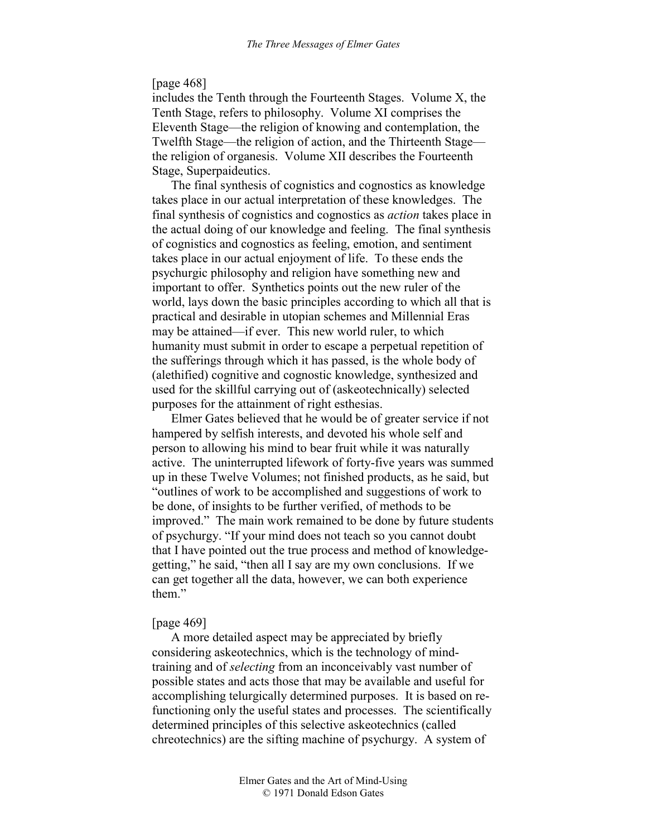## [page 468]

includes the Tenth through the Fourteenth Stages. Volume X, the Tenth Stage, refers to philosophy. Volume XI comprises the Eleventh Stage—the religion of knowing and contemplation, the Twelfth Stage—the religion of action, and the Thirteenth Stage the religion of organesis. Volume XII describes the Fourteenth Stage, Superpaideutics.

The final synthesis of cognistics and cognostics as knowledge takes place in our actual interpretation of these knowledges. The final synthesis of cognistics and cognostics as *action* takes place in the actual doing of our knowledge and feeling. The final synthesis of cognistics and cognostics as feeling, emotion, and sentiment takes place in our actual enjoyment of life. To these ends the psychurgic philosophy and religion have something new and important to offer. Synthetics points out the new ruler of the world, lays down the basic principles according to which all that is practical and desirable in utopian schemes and Millennial Eras may be attained—if ever. This new world ruler, to which humanity must submit in order to escape a perpetual repetition of the sufferings through which it has passed, is the whole body of (alethified) cognitive and cognostic knowledge, synthesized and used for the skillful carrying out of (askeotechnically) selected purposes for the attainment of right esthesias.

Elmer Gates believed that he would be of greater service if not hampered by selfish interests, and devoted his whole self and person to allowing his mind to bear fruit while it was naturally active. The uninterrupted lifework of forty-five years was summed up in these Twelve Volumes; not finished products, as he said, but "outlines of work to be accomplished and suggestions of work to be done, of insights to be further verified, of methods to be improved." The main work remained to be done by future students of psychurgy. "If your mind does not teach so you cannot doubt that I have pointed out the true process and method of knowledgegetting," he said, "then all I say are my own conclusions. If we can get together all the data, however, we can both experience them."

## [page 469]

A more detailed aspect may be appreciated by briefly considering askeotechnics, which is the technology of mindtraining and of *selecting* from an inconceivably vast number of possible states and acts those that may be available and useful for accomplishing telurgically determined purposes. It is based on refunctioning only the useful states and processes. The scientifically determined principles of this selective askeotechnics (called chreotechnics) are the sifting machine of psychurgy. A system of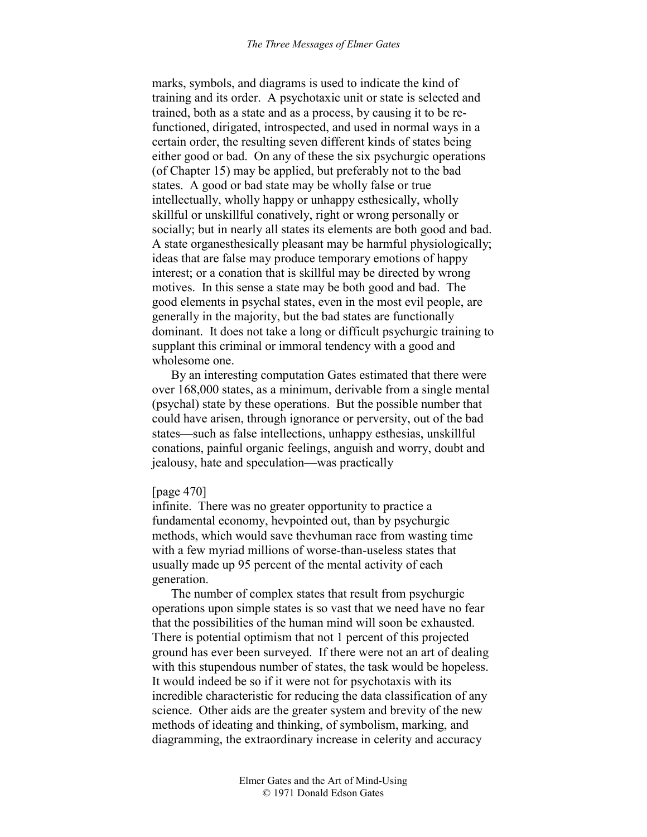marks, symbols, and diagrams is used to indicate the kind of training and its order. A psychotaxic unit or state is selected and trained, both as a state and as a process, by causing it to be refunctioned, dirigated, introspected, and used in normal ways in a certain order, the resulting seven different kinds of states being either good or bad. On any of these the six psychurgic operations (of Chapter 15) may be applied, but preferably not to the bad states. A good or bad state may be wholly false or true intellectually, wholly happy or unhappy esthesically, wholly skillful or unskillful conatively, right or wrong personally or socially; but in nearly all states its elements are both good and bad. A state organesthesically pleasant may be harmful physiologically; ideas that are false may produce temporary emotions of happy interest; or a conation that is skillful may be directed by wrong motives. In this sense a state may be both good and bad. The good elements in psychal states, even in the most evil people, are generally in the majority, but the bad states are functionally dominant. It does not take a long or difficult psychurgic training to supplant this criminal or immoral tendency with a good and wholesome one.

By an interesting computation Gates estimated that there were over 168,000 states, as a minimum, derivable from a single mental (psychal) state by these operations. But the possible number that could have arisen, through ignorance or perversity, out of the bad states—such as false intellections, unhappy esthesias, unskillful conations, painful organic feelings, anguish and worry, doubt and jealousy, hate and speculation—was practically

#### [page 470]

infinite. There was no greater opportunity to practice a fundamental economy, hevpointed out, than by psychurgic methods, which would save thevhuman race from wasting time with a few myriad millions of worse-than-useless states that usually made up 95 percent of the mental activity of each generation.

The number of complex states that result from psychurgic operations upon simple states is so vast that we need have no fear that the possibilities of the human mind will soon be exhausted. There is potential optimism that not 1 percent of this projected ground has ever been surveyed. If there were not an art of dealing with this stupendous number of states, the task would be hopeless. It would indeed be so if it were not for psychotaxis with its incredible characteristic for reducing the data classification of any science. Other aids are the greater system and brevity of the new methods of ideating and thinking, of symbolism, marking, and diagramming, the extraordinary increase in celerity and accuracy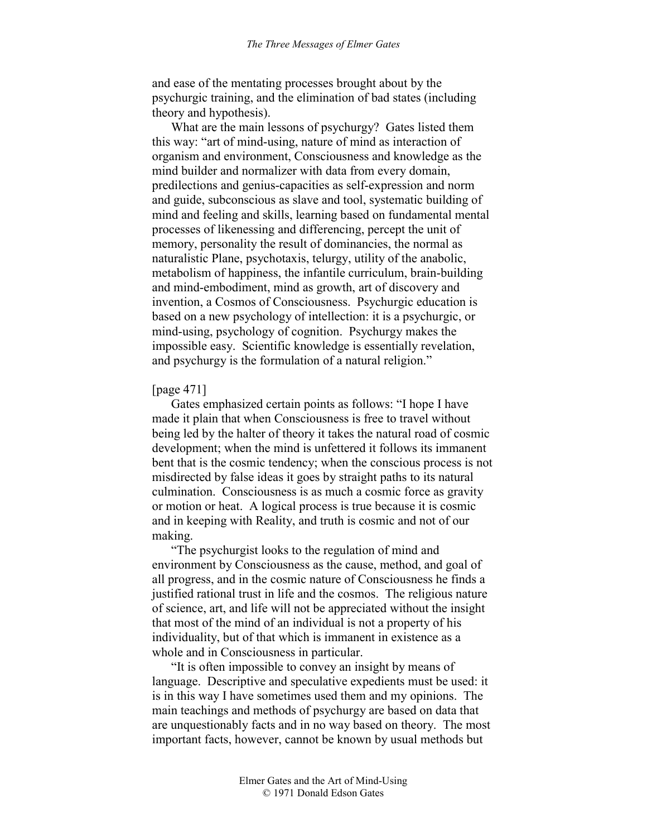and ease of the mentating processes brought about by the psychurgic training, and the elimination of bad states (including theory and hypothesis).

What are the main lessons of psychurgy? Gates listed them this way: "art of mind-using, nature of mind as interaction of organism and environment, Consciousness and knowledge as the mind builder and normalizer with data from every domain, predilections and genius-capacities as self-expression and norm and guide, subconscious as slave and tool, systematic building of mind and feeling and skills, learning based on fundamental mental processes of likenessing and differencing, percept the unit of memory, personality the result of dominancies, the normal as naturalistic Plane, psychotaxis, telurgy, utility of the anabolic, metabolism of happiness, the infantile curriculum, brain-building and mind-embodiment, mind as growth, art of discovery and invention, a Cosmos of Consciousness. Psychurgic education is based on a new psychology of intellection: it is a psychurgic, or mind-using, psychology of cognition. Psychurgy makes the impossible easy. Scientific knowledge is essentially revelation, and psychurgy is the formulation of a natural religion."

## [page 471]

Gates emphasized certain points as follows: "I hope I have made it plain that when Consciousness is free to travel without being led by the halter of theory it takes the natural road of cosmic development; when the mind is unfettered it follows its immanent bent that is the cosmic tendency; when the conscious process is not misdirected by false ideas it goes by straight paths to its natural culmination. Consciousness is as much a cosmic force as gravity or motion or heat. A logical process is true because it is cosmic and in keeping with Reality, and truth is cosmic and not of our making.

"The psychurgist looks to the regulation of mind and environment by Consciousness as the cause, method, and goal of all progress, and in the cosmic nature of Consciousness he finds a justified rational trust in life and the cosmos. The religious nature of science, art, and life will not be appreciated without the insight that most of the mind of an individual is not a property of his individuality, but of that which is immanent in existence as a whole and in Consciousness in particular.

"It is often impossible to convey an insight by means of language. Descriptive and speculative expedients must be used: it is in this way I have sometimes used them and my opinions. The main teachings and methods of psychurgy are based on data that are unquestionably facts and in no way based on theory. The most important facts, however, cannot be known by usual methods but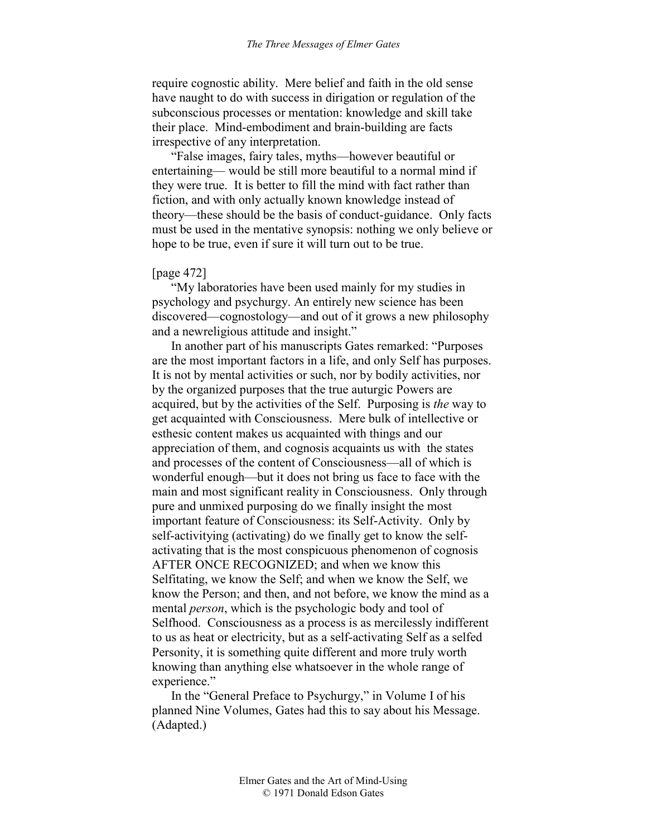require cognostic ability. Mere belief and faith in the old sense have naught to do with success in dirigation or regulation of the subconscious processes or mentation: knowledge and skill take their place. Mind-embodiment and brain-building are facts irrespective of any interpretation.

"False images, fairy tales, myths—however beautiful or entertaining— would be still more beautiful to a normal mind if they were true. It is better to fill the mind with fact rather than fiction, and with only actually known knowledge instead of theory—these should be the basis of conduct-guidance. Only facts must be used in the mentative synopsis: nothing we only believe or hope to be true, even if sure it will turn out to be true.

#### [page 472]

"My laboratories have been used mainly for my studies in psychology and psychurgy. An entirely new science has been discovered—cognostology—and out of it grows a new philosophy and a newreligious attitude and insight."

In another part of his manuscripts Gates remarked: "Purposes are the most important factors in a life, and only Self has purposes. It is not by mental activities or such, nor by bodily activities, nor by the organized purposes that the true auturgic Powers are acquired, but by the activities of the Self. Purposing is *the* way to get acquainted with Consciousness. Mere bulk of intellective or esthesic content makes us acquainted with things and our appreciation of them, and cognosis acquaints us with the states and processes of the content of Consciousness—all of which is wonderful enough—but it does not bring us face to face with the main and most significant reality in Consciousness. Only through pure and unmixed purposing do we finally insight the most important feature of Consciousness: its Self-Activity. Only by self-activitying (activating) do we finally get to know the selfactivating that is the most conspicuous phenomenon of cognosis AFTER ONCE RECOGNIZED; and when we know this Selfitating, we know the Self; and when we know the Self, we know the Person; and then, and not before, we know the mind as a mental *person*, which is the psychologic body and tool of Selfhood. Consciousness as a process is as mercilessly indifferent to us as heat or electricity, but as a self-activating Self as a selfed Personity, it is something quite different and more truly worth knowing than anything else whatsoever in the whole range of experience."

In the "General Preface to Psychurgy," in Volume I of his planned Nine Volumes, Gates had this to say about his Message. (Adapted.)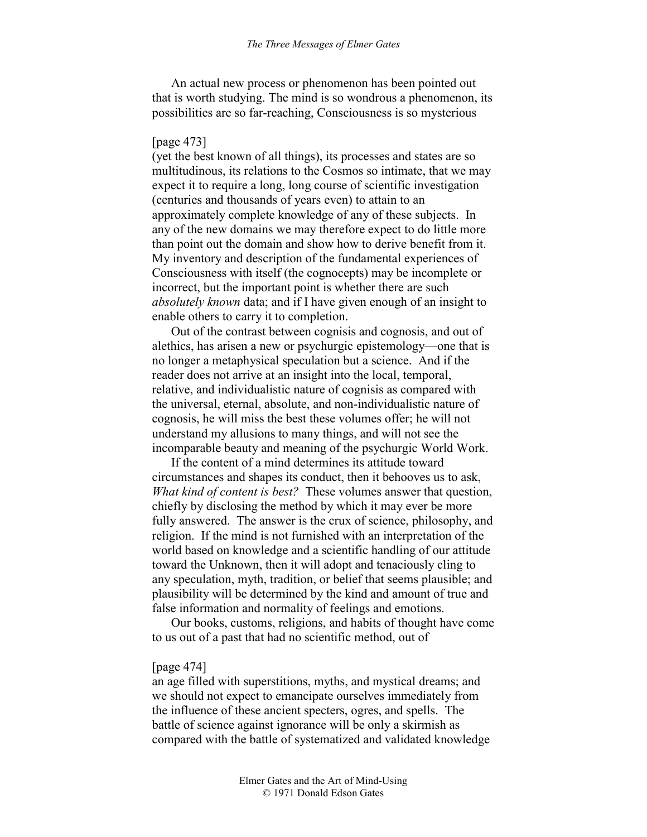An actual new process or phenomenon has been pointed out that is worth studying. The mind is so wondrous a phenomenon, its possibilities are so far-reaching, Consciousness is so mysterious

### [page 473]

(yet the best known of all things), its processes and states are so multitudinous, its relations to the Cosmos so intimate, that we may expect it to require a long, long course of scientific investigation (centuries and thousands of years even) to attain to an approximately complete knowledge of any of these subjects. In any of the new domains we may therefore expect to do little more than point out the domain and show how to derive benefit from it. My inventory and description of the fundamental experiences of Consciousness with itself (the cognocepts) may be incomplete or incorrect, but the important point is whether there are such *absolutely known* data; and if I have given enough of an insight to enable others to carry it to completion.

Out of the contrast between cognisis and cognosis, and out of alethics, has arisen a new or psychurgic epistemology—one that is no longer a metaphysical speculation but a science. And if the reader does not arrive at an insight into the local, temporal, relative, and individualistic nature of cognisis as compared with the universal, eternal, absolute, and non-individualistic nature of cognosis, he will miss the best these volumes offer; he will not understand my allusions to many things, and will not see the incomparable beauty and meaning of the psychurgic World Work.

If the content of a mind determines its attitude toward circumstances and shapes its conduct, then it behooves us to ask, *What kind of content is best?* These volumes answer that question, chiefly by disclosing the method by which it may ever be more fully answered. The answer is the crux of science, philosophy, and religion. If the mind is not furnished with an interpretation of the world based on knowledge and a scientific handling of our attitude toward the Unknown, then it will adopt and tenaciously cling to any speculation, myth, tradition, or belief that seems plausible; and plausibility will be determined by the kind and amount of true and false information and normality of feelings and emotions.

Our books, customs, religions, and habits of thought have come to us out of a past that had no scientific method, out of

#### [page 474]

an age filled with superstitions, myths, and mystical dreams; and we should not expect to emancipate ourselves immediately from the influence of these ancient specters, ogres, and spells. The battle of science against ignorance will be only a skirmish as compared with the battle of systematized and validated knowledge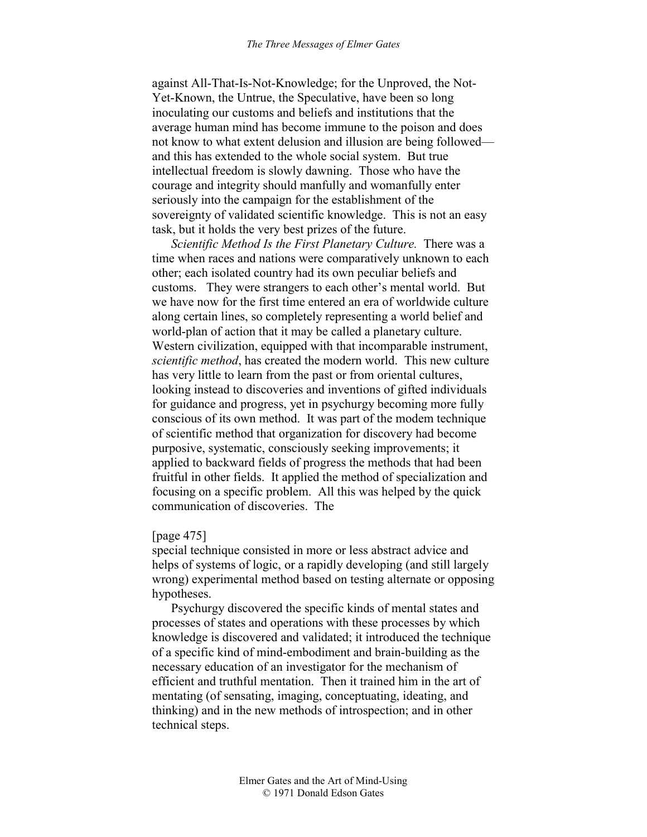against All-That-Is-Not-Knowledge; for the Unproved, the Not-Yet-Known, the Untrue, the Speculative, have been so long inoculating our customs and beliefs and institutions that the average human mind has become immune to the poison and does not know to what extent delusion and illusion are being followed and this has extended to the whole social system. But true intellectual freedom is slowly dawning. Those who have the courage and integrity should manfully and womanfully enter seriously into the campaign for the establishment of the sovereignty of validated scientific knowledge. This is not an easy task, but it holds the very best prizes of the future.

*Scientific Method Is the First Planetary Culture.* There was a time when races and nations were comparatively unknown to each other; each isolated country had its own peculiar beliefs and customs. They were strangers to each other's mental world. But we have now for the first time entered an era of worldwide culture along certain lines, so completely representing a world belief and world-plan of action that it may be called a planetary culture. Western civilization, equipped with that incomparable instrument, *scientific method*, has created the modern world. This new culture has very little to learn from the past or from oriental cultures, looking instead to discoveries and inventions of gifted individuals for guidance and progress, yet in psychurgy becoming more fully conscious of its own method. It was part of the modem technique of scientific method that organization for discovery had become purposive, systematic, consciously seeking improvements; it applied to backward fields of progress the methods that had been fruitful in other fields. It applied the method of specialization and focusing on a specific problem. All this was helped by the quick communication of discoveries. The

### [page 475]

special technique consisted in more or less abstract advice and helps of systems of logic, or a rapidly developing (and still largely wrong) experimental method based on testing alternate or opposing hypotheses.

Psychurgy discovered the specific kinds of mental states and processes of states and operations with these processes by which knowledge is discovered and validated; it introduced the technique of a specific kind of mind-embodiment and brain-building as the necessary education of an investigator for the mechanism of efficient and truthful mentation. Then it trained him in the art of mentating (of sensating, imaging, conceptuating, ideating, and thinking) and in the new methods of introspection; and in other technical steps.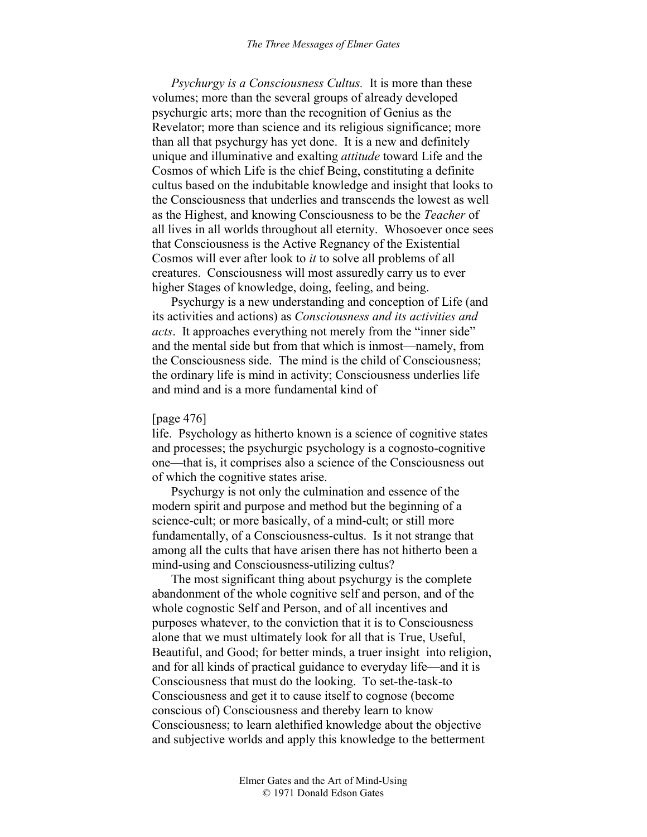*Psychurgy is a Consciousness Cultus.* It is more than these volumes; more than the several groups of already developed psychurgic arts; more than the recognition of Genius as the Revelator; more than science and its religious significance; more than all that psychurgy has yet done. It is a new and definitely unique and illuminative and exalting *attitude* toward Life and the Cosmos of which Life is the chief Being, constituting a definite cultus based on the indubitable knowledge and insight that looks to the Consciousness that underlies and transcends the lowest as well as the Highest, and knowing Consciousness to be the *Teacher* of all lives in all worlds throughout all eternity. Whosoever once sees that Consciousness is the Active Regnancy of the Existential Cosmos will ever after look to *it* to solve all problems of all creatures. Consciousness will most assuredly carry us to ever higher Stages of knowledge, doing, feeling, and being.

Psychurgy is a new understanding and conception of Life (and its activities and actions) as *Consciousness and its activities and acts*. It approaches everything not merely from the "inner side" and the mental side but from that which is inmost—namely, from the Consciousness side. The mind is the child of Consciousness; the ordinary life is mind in activity; Consciousness underlies life and mind and is a more fundamental kind of

### [page 476]

life. Psychology as hitherto known is a science of cognitive states and processes; the psychurgic psychology is a cognosto-cognitive one—that is, it comprises also a science of the Consciousness out of which the cognitive states arise.

Psychurgy is not only the culmination and essence of the modern spirit and purpose and method but the beginning of a science-cult; or more basically, of a mind-cult; or still more fundamentally, of a Consciousness-cultus. Is it not strange that among all the cults that have arisen there has not hitherto been a mind-using and Consciousness-utilizing cultus?

The most significant thing about psychurgy is the complete abandonment of the whole cognitive self and person, and of the whole cognostic Self and Person, and of all incentives and purposes whatever, to the conviction that it is to Consciousness alone that we must ultimately look for all that is True, Useful, Beautiful, and Good; for better minds, a truer insight into religion, and for all kinds of practical guidance to everyday life—and it is Consciousness that must do the looking. To set-the-task-to Consciousness and get it to cause itself to cognose (become conscious of) Consciousness and thereby learn to know Consciousness; to learn alethified knowledge about the objective and subjective worlds and apply this knowledge to the betterment